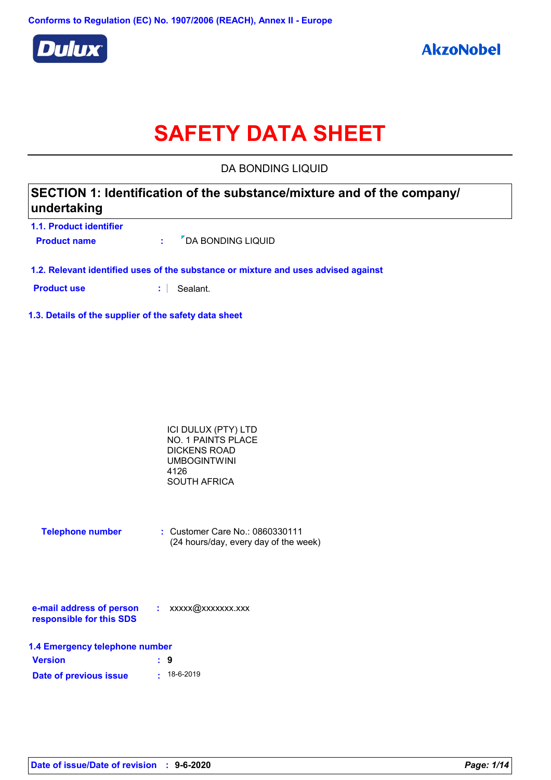

# **SAFETY DATA SHEET**

DA BONDING LIQUID

| SECTION 1: Identification of the substance/mixture and of the company/<br>undertaking |
|---------------------------------------------------------------------------------------|
| <b>1.1. Product identifier</b>                                                        |

**Product name**  $\cdot$   $\cdot$   $\cdot$   $\cdot$   $\cdot$  DA BONDING LIQUID

**1.2. Relevant identified uses of the substance or mixture and uses advised against**

**Product use :** Sealant.

**1.3. Details of the supplier of the safety data sheet**

| ICI DULUX (PTY) LTD |  |
|---------------------|--|
| NO. 1 PAINTS PLACE  |  |
| DICKENS ROAD        |  |
| <b>UMBOGINTWINI</b> |  |
| 4126                |  |
| SOUTH AFRICA        |  |

| <b>Telephone number</b> | : Customer Care No.: 0860330111 |                                       |
|-------------------------|---------------------------------|---------------------------------------|
|                         |                                 | (24 hours/day, every day of the week) |

| e-mail address of person | xxxxx@xxxxxxx.xxx |
|--------------------------|-------------------|
| responsible for this SDS |                   |

| 1.4 Emergency telephone number |  |                   |
|--------------------------------|--|-------------------|
| <b>Version</b>                 |  | : 9               |
| Date of previous issue         |  | $\cdot$ 18-6-2019 |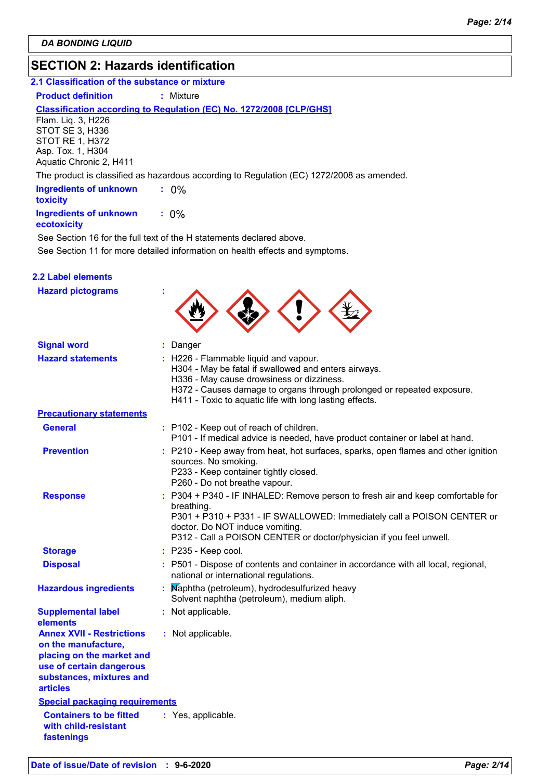# **SECTION 2: Hazards identification**

# **2.1 Classification of the substance or mixture**

#### **Product definition : Mixture**

#### **Classification according to Regulation (EC) No. 1272/2008 [CLP/GHS]**

Flam. Liq. 3, H226 STOT SE 3, H336 STOT RE 1, H372 Asp. Tox. 1, H304 Aquatic Chronic 2, H411

The product is classified as hazardous according to Regulation (EC) 1272/2008 as amended.

| <b>Ingredients of unknown</b><br><b>toxicity</b> | $: 0\%$ |
|--------------------------------------------------|---------|
| <b>Ingredients of unknown</b><br>ecotoxicity     | $: 0\%$ |

See Section 11 for more detailed information on health effects and symptoms. See Section 16 for the full text of the H statements declared above.

| <b>Hazard pictograms</b>                                                                                                                                        |                                                                                                                                                                                                                                                                                   |
|-----------------------------------------------------------------------------------------------------------------------------------------------------------------|-----------------------------------------------------------------------------------------------------------------------------------------------------------------------------------------------------------------------------------------------------------------------------------|
| <b>Signal word</b>                                                                                                                                              | : Danger                                                                                                                                                                                                                                                                          |
| <b>Hazard statements</b>                                                                                                                                        | : H226 - Flammable liquid and vapour.<br>H304 - May be fatal if swallowed and enters airways.<br>H336 - May cause drowsiness or dizziness.<br>H372 - Causes damage to organs through prolonged or repeated exposure.<br>H411 - Toxic to aquatic life with long lasting effects.   |
| <b>Precautionary statements</b>                                                                                                                                 |                                                                                                                                                                                                                                                                                   |
| <b>General</b>                                                                                                                                                  | : P102 - Keep out of reach of children.<br>P101 - If medical advice is needed, have product container or label at hand.                                                                                                                                                           |
| <b>Prevention</b>                                                                                                                                               | : P210 - Keep away from heat, hot surfaces, sparks, open flames and other ignition<br>sources. No smoking.<br>P233 - Keep container tightly closed.<br>P260 - Do not breathe vapour.                                                                                              |
| <b>Response</b>                                                                                                                                                 | : P304 + P340 - IF INHALED: Remove person to fresh air and keep comfortable for<br>breathing.<br>P301 + P310 + P331 - IF SWALLOWED: Immediately call a POISON CENTER or<br>doctor. Do NOT induce vomiting.<br>P312 - Call a POISON CENTER or doctor/physician if you feel unwell. |
| <b>Storage</b>                                                                                                                                                  | $:$ P235 - Keep cool.                                                                                                                                                                                                                                                             |
| <b>Disposal</b>                                                                                                                                                 | : P501 - Dispose of contents and container in accordance with all local, regional,<br>national or international regulations.                                                                                                                                                      |
| <b>Hazardous ingredients</b>                                                                                                                                    | Maphtha (petroleum), hydrodesulfurized heavy<br>Solvent naphtha (petroleum), medium aliph.                                                                                                                                                                                        |
| <b>Supplemental label</b><br>elements                                                                                                                           | : Not applicable.                                                                                                                                                                                                                                                                 |
| <b>Annex XVII - Restrictions</b><br>on the manufacture,<br>placing on the market and<br>use of certain dangerous<br>substances, mixtures and<br><b>articles</b> | : Not applicable.                                                                                                                                                                                                                                                                 |
| <b>Special packaging requirements</b>                                                                                                                           |                                                                                                                                                                                                                                                                                   |
| <b>Containers to be fitted</b><br>with child-resistant<br>fastenings                                                                                            | : Yes, applicable.                                                                                                                                                                                                                                                                |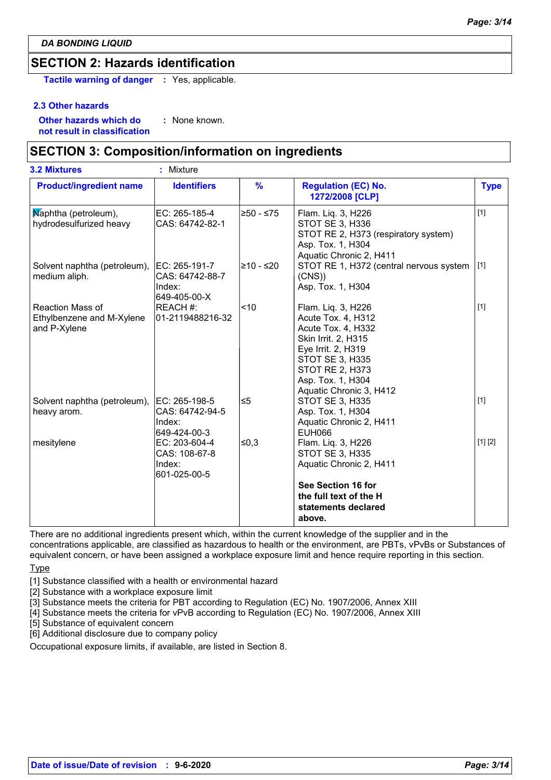# **SECTION 2: Hazards identification**

**Tactile warning of danger :** Yes, applicable.

#### **2.3 Other hazards**

**Other hazards which do : not result in classification** : None known.

# **SECTION 3: Composition/information on ingredients**

| <b>3.2 Mixtures</b>                                           | ٠<br>Mixture                                               |               |                                                                                                                                                                                                          |             |
|---------------------------------------------------------------|------------------------------------------------------------|---------------|----------------------------------------------------------------------------------------------------------------------------------------------------------------------------------------------------------|-------------|
| <b>Product/ingredient name</b>                                | <b>Identifiers</b>                                         | $\frac{9}{6}$ | <b>Regulation (EC) No.</b><br>1272/2008 [CLP]                                                                                                                                                            | <b>Type</b> |
| Maphtha (petroleum),<br>hydrodesulfurized heavy               | EC: 265-185-4<br>CAS: 64742-82-1                           | l≥50 - ≤75    | Flam. Liq. 3, H226<br>STOT SE 3, H336<br>STOT RE 2, H373 (respiratory system)<br>Asp. Tox. 1, H304<br>Aquatic Chronic 2, H411                                                                            | $[1]$       |
| Solvent naphtha (petroleum),<br>medium aliph.                 | EC: 265-191-7<br>CAS: 64742-88-7<br>Index:<br>649-405-00-X | l≥10 - ≤20    | STOT RE 1, H372 (central nervous system  [1]<br>(CNS)<br>Asp. Tox. 1, H304                                                                                                                               |             |
| Reaction Mass of<br>Ethylbenzene and M-Xylene<br>and P-Xylene | REACH #:<br>01-2119488216-32                               | $ $ < 10      | Flam. Liq. 3, H226<br>Acute Tox. 4, H312<br>Acute Tox. 4, H332<br>Skin Irrit. 2, H315<br>Eye Irrit. 2, H319<br><b>STOT SE 3, H335</b><br>STOT RE 2, H373<br>Asp. Tox. 1, H304<br>Aquatic Chronic 3, H412 | $[1]$       |
| Solvent naphtha (petroleum),<br>heavy arom.                   | EC: 265-198-5<br>CAS: 64742-94-5<br>Index:<br>649-424-00-3 | ≤5            | <b>STOT SE 3, H335</b><br>Asp. Tox. 1, H304<br>Aquatic Chronic 2, H411<br><b>EUH066</b>                                                                                                                  | $[1]$       |
| mesitylene                                                    | EC: 203-604-4<br>CAS: 108-67-8<br>Index:<br>601-025-00-5   | ∣≤0,3         | Flam. Liq. 3, H226<br><b>STOT SE 3, H335</b><br>Aquatic Chronic 2, H411<br>See Section 16 for<br>the full text of the H<br>statements declared<br>above.                                                 | [1] [2]     |

There are no additional ingredients present which, within the current knowledge of the supplier and in the

concentrations applicable, are classified as hazardous to health or the environment, are PBTs, vPvBs or Substances of equivalent concern, or have been assigned a workplace exposure limit and hence require reporting in this section.

## **Type**

[1] Substance classified with a health or environmental hazard

[2] Substance with a workplace exposure limit

[3] Substance meets the criteria for PBT according to Regulation (EC) No. 1907/2006, Annex XIII

[4] Substance meets the criteria for vPvB according to Regulation (EC) No. 1907/2006, Annex XIII

[5] Substance of equivalent concern

[6] Additional disclosure due to company policy

Occupational exposure limits, if available, are listed in Section 8.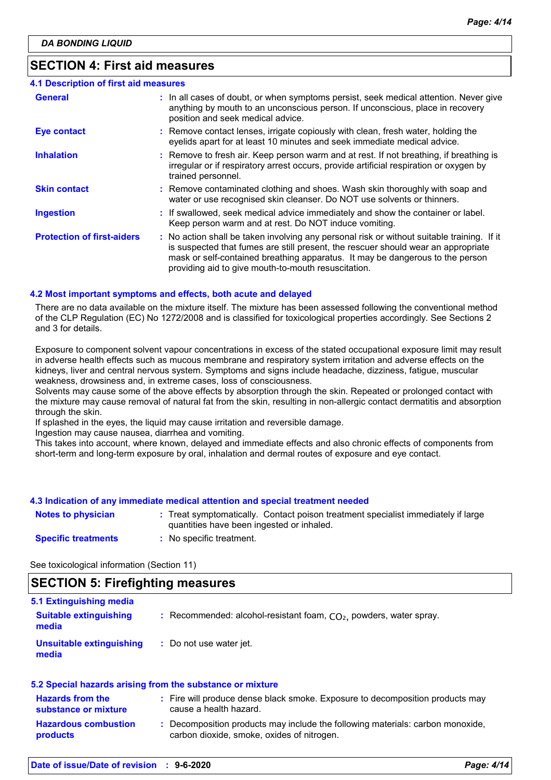# **SECTION 4: First aid measures**

| 4.1 Description of first aid measures |                                                                                                                                                                                                                                                                                                                         |
|---------------------------------------|-------------------------------------------------------------------------------------------------------------------------------------------------------------------------------------------------------------------------------------------------------------------------------------------------------------------------|
| <b>General</b>                        | : In all cases of doubt, or when symptoms persist, seek medical attention. Never give<br>anything by mouth to an unconscious person. If unconscious, place in recovery<br>position and seek medical advice.                                                                                                             |
| <b>Eye contact</b>                    | : Remove contact lenses, irrigate copiously with clean, fresh water, holding the<br>eyelids apart for at least 10 minutes and seek immediate medical advice.                                                                                                                                                            |
| <b>Inhalation</b>                     | : Remove to fresh air. Keep person warm and at rest. If not breathing, if breathing is<br>irregular or if respiratory arrest occurs, provide artificial respiration or oxygen by<br>trained personnel.                                                                                                                  |
| <b>Skin contact</b>                   | : Remove contaminated clothing and shoes. Wash skin thoroughly with soap and<br>water or use recognised skin cleanser. Do NOT use solvents or thinners.                                                                                                                                                                 |
| <b>Ingestion</b>                      | : If swallowed, seek medical advice immediately and show the container or label.<br>Keep person warm and at rest. Do NOT induce vomiting.                                                                                                                                                                               |
| <b>Protection of first-aiders</b>     | : No action shall be taken involving any personal risk or without suitable training. If it<br>is suspected that fumes are still present, the rescuer should wear an appropriate<br>mask or self-contained breathing apparatus. It may be dangerous to the person<br>providing aid to give mouth-to-mouth resuscitation. |

### **4.2 Most important symptoms and effects, both acute and delayed**

There are no data available on the mixture itself. The mixture has been assessed following the conventional method of the CLP Regulation (EC) No 1272/2008 and is classified for toxicological properties accordingly. See Sections 2 and 3 for details.

Exposure to component solvent vapour concentrations in excess of the stated occupational exposure limit may result in adverse health effects such as mucous membrane and respiratory system irritation and adverse effects on the kidneys, liver and central nervous system. Symptoms and signs include headache, dizziness, fatigue, muscular weakness, drowsiness and, in extreme cases, loss of consciousness.

Solvents may cause some of the above effects by absorption through the skin. Repeated or prolonged contact with the mixture may cause removal of natural fat from the skin, resulting in non-allergic contact dermatitis and absorption through the skin.

If splashed in the eyes, the liquid may cause irritation and reversible damage.

Ingestion may cause nausea, diarrhea and vomiting.

This takes into account, where known, delayed and immediate effects and also chronic effects of components from short-term and long-term exposure by oral, inhalation and dermal routes of exposure and eye contact.

### **4.3 Indication of any immediate medical attention and special treatment needed**

| <b>Notes to physician</b>  | Treat symptomatically. Contact poison treatment specialist immediately if large<br>quantities have been ingested or inhaled. |
|----------------------------|------------------------------------------------------------------------------------------------------------------------------|
| <b>Specific treatments</b> | No specific treatment.                                                                                                       |

See toxicological information (Section 11)

# **SECTION 5: Firefighting measures**

| 5.1 Extinguishing media                |                                                                      |
|----------------------------------------|----------------------------------------------------------------------|
| <b>Suitable extinguishing</b><br>media | : Recommended: alcohol-resistant foam, $CO2$ , powders, water spray. |
| Unsuitable extinguishing<br>media      | : Do not use water jet.                                              |

#### **5.2 Special hazards arising from the substance or mixture**

| <b>Hazards from the</b><br>substance or mixture | : Fire will produce dense black smoke. Exposure to decomposition products may<br>cause a health hazard.                    |
|-------------------------------------------------|----------------------------------------------------------------------------------------------------------------------------|
| <b>Hazardous combustion</b><br><b>products</b>  | Decomposition products may include the following materials: carbon monoxide,<br>carbon dioxide, smoke, oxides of nitrogen. |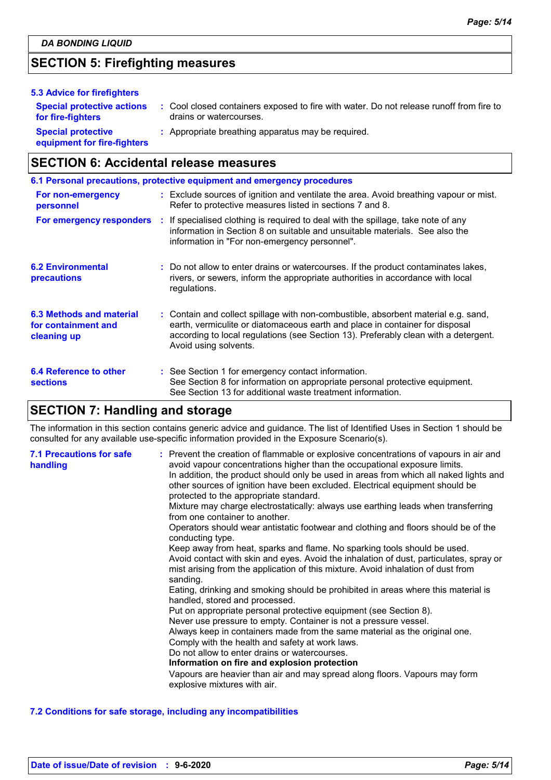# **SECTION 5: Firefighting measures**

| 5.3 Advice for firefighters                              |                                                                                                                    |
|----------------------------------------------------------|--------------------------------------------------------------------------------------------------------------------|
| <b>Special protective actions</b><br>for fire-fighters   | : Cool closed containers exposed to fire with water. Do not release runoff from fire to<br>drains or watercourses. |
| <b>Special protective</b><br>equipment for fire-fighters | : Appropriate breathing apparatus may be required.                                                                 |

# **SECTION 6: Accidental release measures**

|                                                                | 6.1 Personal precautions, protective equipment and emergency procedures                                                                                                                                                                                                            |
|----------------------------------------------------------------|------------------------------------------------------------------------------------------------------------------------------------------------------------------------------------------------------------------------------------------------------------------------------------|
| For non-emergency<br>personnel                                 | : Exclude sources of ignition and ventilate the area. Avoid breathing vapour or mist.<br>Refer to protective measures listed in sections 7 and 8.                                                                                                                                  |
| For emergency responders                                       | : If specialised clothing is required to deal with the spillage, take note of any<br>information in Section 8 on suitable and unsuitable materials. See also the<br>information in "For non-emergency personnel".                                                                  |
| <b>6.2 Environmental</b><br>precautions                        | : Do not allow to enter drains or watercourses. If the product contaminates lakes,<br>rivers, or sewers, inform the appropriate authorities in accordance with local<br>regulations.                                                                                               |
| 6.3 Methods and material<br>for containment and<br>cleaning up | : Contain and collect spillage with non-combustible, absorbent material e.g. sand,<br>earth, vermiculite or diatomaceous earth and place in container for disposal<br>according to local regulations (see Section 13). Preferably clean with a detergent.<br>Avoid using solvents. |
| 6.4 Reference to other<br><b>sections</b>                      | : See Section 1 for emergency contact information.<br>See Section 8 for information on appropriate personal protective equipment.<br>See Section 13 for additional waste treatment information.                                                                                    |

# **SECTION 7: Handling and storage**

The information in this section contains generic advice and guidance. The list of Identified Uses in Section 1 should be consulted for any available use-specific information provided in the Exposure Scenario(s).

| <b>7.1 Precautions for safe</b><br>handling | : Prevent the creation of flammable or explosive concentrations of vapours in air and<br>avoid vapour concentrations higher than the occupational exposure limits.<br>In addition, the product should only be used in areas from which all naked lights and<br>other sources of ignition have been excluded. Electrical equipment should be<br>protected to the appropriate standard.<br>Mixture may charge electrostatically: always use earthing leads when transferring<br>from one container to another.<br>Operators should wear antistatic footwear and clothing and floors should be of the<br>conducting type.<br>Keep away from heat, sparks and flame. No sparking tools should be used.<br>Avoid contact with skin and eyes. Avoid the inhalation of dust, particulates, spray or<br>mist arising from the application of this mixture. Avoid inhalation of dust from<br>sanding.<br>Eating, drinking and smoking should be prohibited in areas where this material is<br>handled, stored and processed.<br>Put on appropriate personal protective equipment (see Section 8).<br>Never use pressure to empty. Container is not a pressure vessel.<br>Always keep in containers made from the same material as the original one.<br>Comply with the health and safety at work laws.<br>Do not allow to enter drains or watercourses.<br>Information on fire and explosion protection<br>Vapours are heavier than air and may spread along floors. Vapours may form<br>explosive mixtures with air. |
|---------------------------------------------|--------------------------------------------------------------------------------------------------------------------------------------------------------------------------------------------------------------------------------------------------------------------------------------------------------------------------------------------------------------------------------------------------------------------------------------------------------------------------------------------------------------------------------------------------------------------------------------------------------------------------------------------------------------------------------------------------------------------------------------------------------------------------------------------------------------------------------------------------------------------------------------------------------------------------------------------------------------------------------------------------------------------------------------------------------------------------------------------------------------------------------------------------------------------------------------------------------------------------------------------------------------------------------------------------------------------------------------------------------------------------------------------------------------------------------------------------------------------------------------------------------------|
|---------------------------------------------|--------------------------------------------------------------------------------------------------------------------------------------------------------------------------------------------------------------------------------------------------------------------------------------------------------------------------------------------------------------------------------------------------------------------------------------------------------------------------------------------------------------------------------------------------------------------------------------------------------------------------------------------------------------------------------------------------------------------------------------------------------------------------------------------------------------------------------------------------------------------------------------------------------------------------------------------------------------------------------------------------------------------------------------------------------------------------------------------------------------------------------------------------------------------------------------------------------------------------------------------------------------------------------------------------------------------------------------------------------------------------------------------------------------------------------------------------------------------------------------------------------------|

### **7.2 Conditions for safe storage, including any incompatibilities**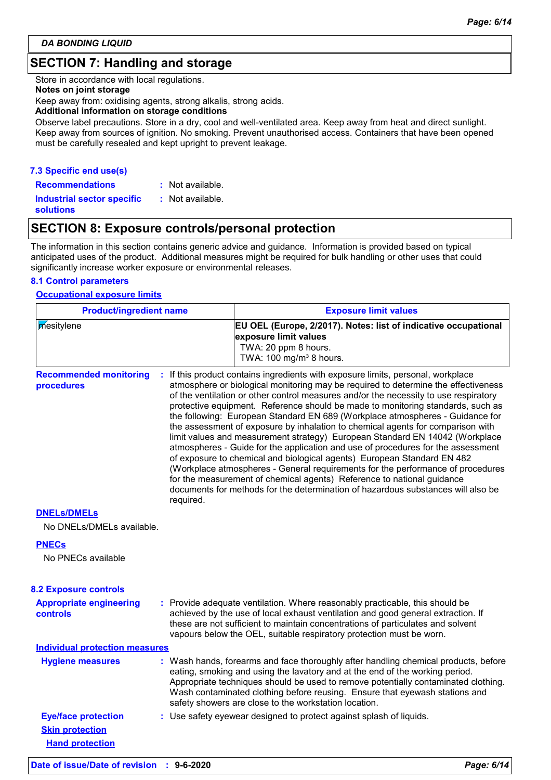# **SECTION 7: Handling and storage**

Store in accordance with local regulations.

#### **Notes on joint storage**

Keep away from: oxidising agents, strong alkalis, strong acids.

#### **Additional information on storage conditions**

Observe label precautions. Store in a dry, cool and well-ventilated area. Keep away from heat and direct sunlight. Keep away from sources of ignition. No smoking. Prevent unauthorised access. Containers that have been opened must be carefully resealed and kept upright to prevent leakage.

## **7.3 Specific end use(s)**

**Recommendations : Industrial sector specific : solutions** : Not available. : Not available.

# **SECTION 8: Exposure controls/personal protection**

The information in this section contains generic advice and guidance. Information is provided based on typical anticipated uses of the product. Additional measures might be required for bulk handling or other uses that could significantly increase worker exposure or environmental releases.

### **8.1 Control parameters**

#### **Occupational exposure limits**

| <b>Product/ingredient name</b>              |           | <b>Exposure limit values</b>                                                                                                                                                                                                                                                                                                                                                                                                                                                                                                                                                                                                                                                                                                                                                                                                                                                                                                                                                                                        |  |  |  |  |
|---------------------------------------------|-----------|---------------------------------------------------------------------------------------------------------------------------------------------------------------------------------------------------------------------------------------------------------------------------------------------------------------------------------------------------------------------------------------------------------------------------------------------------------------------------------------------------------------------------------------------------------------------------------------------------------------------------------------------------------------------------------------------------------------------------------------------------------------------------------------------------------------------------------------------------------------------------------------------------------------------------------------------------------------------------------------------------------------------|--|--|--|--|
| mesitylene                                  |           | EU OEL (Europe, 2/2017). Notes: list of indicative occupational<br>exposure limit values<br>TWA: 20 ppm 8 hours.<br>TWA: 100 mg/m <sup>3</sup> 8 hours.                                                                                                                                                                                                                                                                                                                                                                                                                                                                                                                                                                                                                                                                                                                                                                                                                                                             |  |  |  |  |
| <b>Recommended monitoring</b><br>procedures | required. | If this product contains ingredients with exposure limits, personal, workplace<br>atmosphere or biological monitoring may be required to determine the effectiveness<br>of the ventilation or other control measures and/or the necessity to use respiratory<br>protective equipment. Reference should be made to monitoring standards, such as<br>the following: European Standard EN 689 (Workplace atmospheres - Guidance for<br>the assessment of exposure by inhalation to chemical agents for comparison with<br>limit values and measurement strategy) European Standard EN 14042 (Workplace<br>atmospheres - Guide for the application and use of procedures for the assessment<br>of exposure to chemical and biological agents) European Standard EN 482<br>(Workplace atmospheres - General requirements for the performance of procedures<br>for the measurement of chemical agents) Reference to national guidance<br>documents for methods for the determination of hazardous substances will also be |  |  |  |  |
| <b>DNELS/DMELS</b>                          |           |                                                                                                                                                                                                                                                                                                                                                                                                                                                                                                                                                                                                                                                                                                                                                                                                                                                                                                                                                                                                                     |  |  |  |  |
| No DNELs/DMELs available.                   |           |                                                                                                                                                                                                                                                                                                                                                                                                                                                                                                                                                                                                                                                                                                                                                                                                                                                                                                                                                                                                                     |  |  |  |  |
| <b>PNECs</b><br>No PNECs available          |           |                                                                                                                                                                                                                                                                                                                                                                                                                                                                                                                                                                                                                                                                                                                                                                                                                                                                                                                                                                                                                     |  |  |  |  |
| <b>8.2 Exposure controls</b>                |           |                                                                                                                                                                                                                                                                                                                                                                                                                                                                                                                                                                                                                                                                                                                                                                                                                                                                                                                                                                                                                     |  |  |  |  |
| <b>Appropriate engineering</b><br>controls  |           | : Provide adequate ventilation. Where reasonably practicable, this should be<br>achieved by the use of local exhaust ventilation and good general extraction. If<br>these are not sufficient to maintain concentrations of particulates and solvent<br>vapours below the OEL, suitable respiratory protection must be worn.                                                                                                                                                                                                                                                                                                                                                                                                                                                                                                                                                                                                                                                                                         |  |  |  |  |
| <b>Individual protection measures</b>       |           |                                                                                                                                                                                                                                                                                                                                                                                                                                                                                                                                                                                                                                                                                                                                                                                                                                                                                                                                                                                                                     |  |  |  |  |
| <b>Hygiene measures</b>                     |           | : Wash hands, forearms and face thoroughly after handling chemical products, before<br>eating, smoking and using the lavatory and at the end of the working period.<br>Appropriate techniques should be used to remove potentially contaminated clothing.<br>Wash contaminated clothing before reusing. Ensure that eyewash stations and<br>safety showers are close to the workstation location.                                                                                                                                                                                                                                                                                                                                                                                                                                                                                                                                                                                                                   |  |  |  |  |
| <b>Eye/face protection</b>                  |           | : Use safety eyewear designed to protect against splash of liquids.                                                                                                                                                                                                                                                                                                                                                                                                                                                                                                                                                                                                                                                                                                                                                                                                                                                                                                                                                 |  |  |  |  |
| <b>Skin protection</b>                      |           |                                                                                                                                                                                                                                                                                                                                                                                                                                                                                                                                                                                                                                                                                                                                                                                                                                                                                                                                                                                                                     |  |  |  |  |
| <b>Hand protection</b>                      |           |                                                                                                                                                                                                                                                                                                                                                                                                                                                                                                                                                                                                                                                                                                                                                                                                                                                                                                                                                                                                                     |  |  |  |  |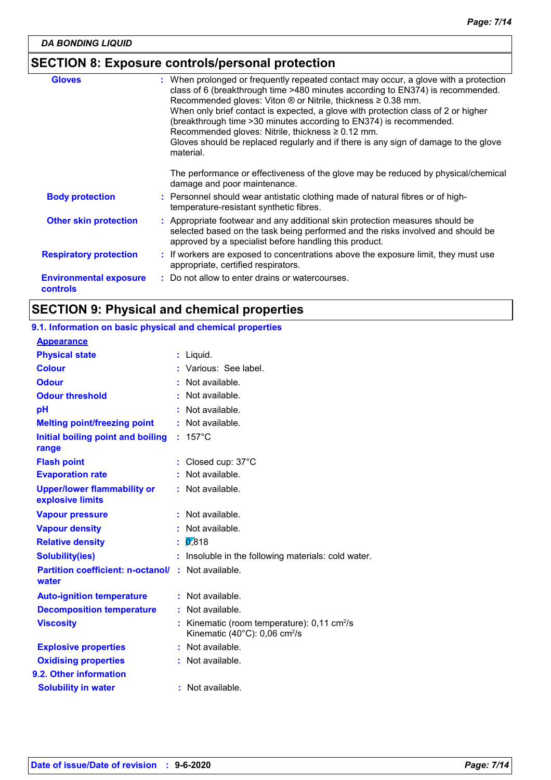# **SECTION 8: Exposure controls/personal protection**

| <b>Gloves</b>                                    | : When prolonged or frequently repeated contact may occur, a glove with a protection<br>class of 6 (breakthrough time >480 minutes according to EN374) is recommended.<br>Recommended gloves: Viton $\otimes$ or Nitrile, thickness $\geq 0.38$ mm.<br>When only brief contact is expected, a glove with protection class of 2 or higher<br>(breakthrough time > 30 minutes according to EN374) is recommended.<br>Recommended gloves: Nitrile, thickness $\geq 0.12$ mm.<br>Gloves should be replaced regularly and if there is any sign of damage to the glove<br>material. |
|--------------------------------------------------|-------------------------------------------------------------------------------------------------------------------------------------------------------------------------------------------------------------------------------------------------------------------------------------------------------------------------------------------------------------------------------------------------------------------------------------------------------------------------------------------------------------------------------------------------------------------------------|
|                                                  | The performance or effectiveness of the glove may be reduced by physical/chemical<br>damage and poor maintenance.                                                                                                                                                                                                                                                                                                                                                                                                                                                             |
| <b>Body protection</b>                           | : Personnel should wear antistatic clothing made of natural fibres or of high-<br>temperature-resistant synthetic fibres.                                                                                                                                                                                                                                                                                                                                                                                                                                                     |
| <b>Other skin protection</b>                     | : Appropriate footwear and any additional skin protection measures should be<br>selected based on the task being performed and the risks involved and should be<br>approved by a specialist before handling this product.                                                                                                                                                                                                                                                                                                                                                     |
| <b>Respiratory protection</b>                    | : If workers are exposed to concentrations above the exposure limit, they must use<br>appropriate, certified respirators.                                                                                                                                                                                                                                                                                                                                                                                                                                                     |
| <b>Environmental exposure</b><br><b>controls</b> | : Do not allow to enter drains or watercourses.                                                                                                                                                                                                                                                                                                                                                                                                                                                                                                                               |

# **SECTION 9: Physical and chemical properties**

# **9.1. Information on basic physical and chemical properties**

| <b>Appearance</b>                                      |    |                                                                                                                |
|--------------------------------------------------------|----|----------------------------------------------------------------------------------------------------------------|
| <b>Physical state</b>                                  | ÷. | Liquid.                                                                                                        |
| <b>Colour</b>                                          |    | Various: See label.                                                                                            |
| <b>Odour</b>                                           |    | Not available.                                                                                                 |
| <b>Odour threshold</b>                                 |    | Not available.                                                                                                 |
| pH                                                     |    | Not available.                                                                                                 |
| <b>Melting point/freezing point</b>                    |    | Not available.                                                                                                 |
| Initial boiling point and boiling<br>range             |    | $157^{\circ}$ C                                                                                                |
| <b>Flash point</b>                                     |    | Closed cup: 37°C                                                                                               |
| <b>Evaporation rate</b>                                |    | Not available.                                                                                                 |
| <b>Upper/lower flammability or</b><br>explosive limits |    | $:$ Not available.                                                                                             |
| <b>Vapour pressure</b>                                 |    | Not available.                                                                                                 |
| <b>Vapour density</b>                                  |    | Not available.                                                                                                 |
| <b>Relative density</b>                                | ÷  | 0,818                                                                                                          |
| <b>Solubility(ies)</b>                                 |    | Insoluble in the following materials: cold water.                                                              |
| <b>Partition coefficient: n-octanol/</b><br>water      |    | : Not available.                                                                                               |
| <b>Auto-ignition temperature</b>                       |    | : Not available.                                                                                               |
| <b>Decomposition temperature</b>                       | t  | Not available.                                                                                                 |
| <b>Viscosity</b>                                       |    | Kinematic (room temperature): $0,11$ cm <sup>2</sup> /s<br>Kinematic $(40^{\circ}$ C): 0,06 cm <sup>2</sup> /s |
| <b>Explosive properties</b>                            |    | Not available.                                                                                                 |
| <b>Oxidising properties</b>                            |    | Not available.                                                                                                 |
| 9.2. Other information                                 |    |                                                                                                                |
| <b>Solubility in water</b>                             |    | : Not available.                                                                                               |
|                                                        |    |                                                                                                                |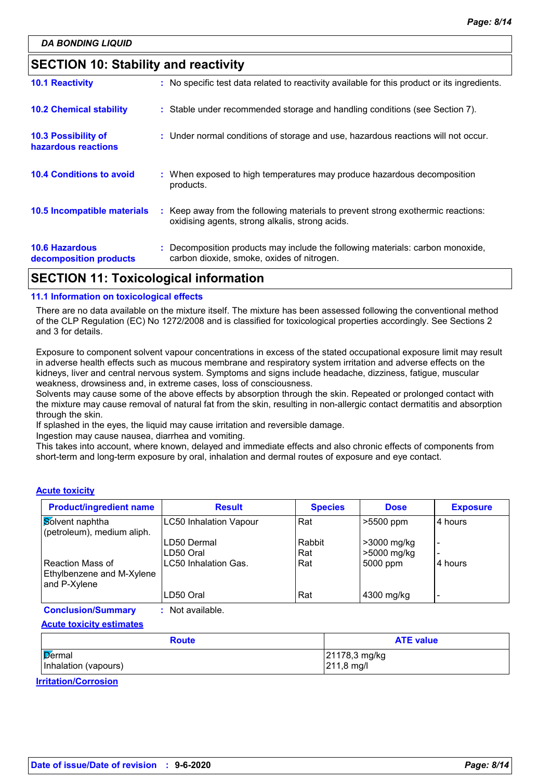# **SECTION 10: Stability and reactivity**

| APARIALI <i>II</i>                              | .                                                                                                                                   |  |
|-------------------------------------------------|-------------------------------------------------------------------------------------------------------------------------------------|--|
| <b>10.6 Hazardous</b><br>decomposition products | : Decomposition products may include the following materials: carbon monoxide,<br>carbon dioxide, smoke, oxides of nitrogen.        |  |
| <b>10.5 Incompatible materials</b>              | : Keep away from the following materials to prevent strong exothermic reactions:<br>oxidising agents, strong alkalis, strong acids. |  |
| <b>10.4 Conditions to avoid</b>                 | : When exposed to high temperatures may produce hazardous decomposition<br>products.                                                |  |
| 10.3 Possibility of<br>hazardous reactions      | : Under normal conditions of storage and use, hazardous reactions will not occur.                                                   |  |
| <b>10.2 Chemical stability</b>                  | : Stable under recommended storage and handling conditions (see Section 7).                                                         |  |
| <b>10.1 Reactivity</b>                          | : No specific test data related to reactivity available for this product or its ingredients.                                        |  |

# **SECTION 11: Toxicological information**

#### **11.1 Information on toxicological effects**

There are no data available on the mixture itself. The mixture has been assessed following the conventional method of the CLP Regulation (EC) No 1272/2008 and is classified for toxicological properties accordingly. See Sections 2 and 3 for details.

Exposure to component solvent vapour concentrations in excess of the stated occupational exposure limit may result in adverse health effects such as mucous membrane and respiratory system irritation and adverse effects on the kidneys, liver and central nervous system. Symptoms and signs include headache, dizziness, fatigue, muscular weakness, drowsiness and, in extreme cases, loss of consciousness.

Solvents may cause some of the above effects by absorption through the skin. Repeated or prolonged contact with the mixture may cause removal of natural fat from the skin, resulting in non-allergic contact dermatitis and absorption through the skin.

If splashed in the eyes, the liquid may cause irritation and reversible damage.

Ingestion may cause nausea, diarrhea and vomiting.

This takes into account, where known, delayed and immediate effects and also chronic effects of components from short-term and long-term exposure by oral, inhalation and dermal routes of exposure and eye contact.

#### **Acute toxicity**

| <b>Product/ingredient name</b>                                | <b>Result</b>             | <b>Species</b> | <b>Dose</b>                | <b>Exposure</b> |
|---------------------------------------------------------------|---------------------------|----------------|----------------------------|-----------------|
| Solvent naphtha<br>(petroleum), medium aliph.                 | LC50 Inhalation Vapour    | Rat            | $>5500$ ppm                | 4 hours         |
|                                                               | LD50 Dermal<br>ILD50 Oral | Rabbit<br>Rat  | >3000 mg/kg<br>>5000 mg/kg |                 |
| Reaction Mass of<br>Ethylbenzene and M-Xylene<br>and P-Xylene | LC50 Inhalation Gas.      | Rat            | 5000 ppm                   | 4 hours         |
|                                                               | LD50 Oral                 | Rat            | 4300 mg/kg                 |                 |

**Conclusion/Summary :** Not available.

**Acute toxicity estimates**

| <b>Route</b>         | <b>ATE value</b>       |
|----------------------|------------------------|
| Dermal               | 21178,3 mg/kg          |
| Inhalation (vapours) | $ 211,8 \text{ mg}/I $ |

**Irritation/Corrosion**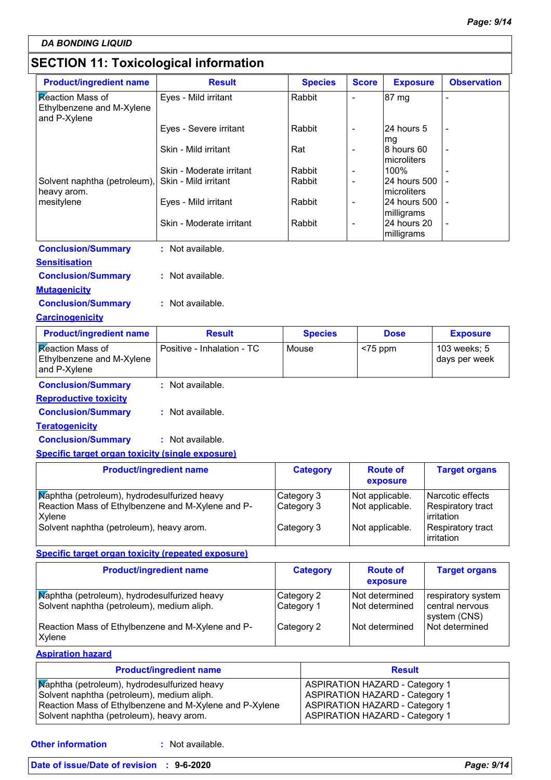*DA BONDING LIQUID*

# **SECTION 11: Toxicological information**

| <b>Product/ingredient name</b>                                       | <b>Result</b>              | <b>Species</b> | <b>Score</b>             | <b>Exposure</b>                 | <b>Observation</b>            |
|----------------------------------------------------------------------|----------------------------|----------------|--------------------------|---------------------------------|-------------------------------|
| Reaction Mass of<br>Ethylbenzene and M-Xylene<br>and P-Xylene        | Eyes - Mild irritant       | Rabbit         |                          | 87 mg                           |                               |
|                                                                      | Eyes - Severe irritant     | Rabbit         | L,                       | 24 hours 5                      |                               |
|                                                                      | Skin - Mild irritant       | Rat            | $\overline{a}$           | mg<br>8 hours 60<br>microliters |                               |
|                                                                      | Skin - Moderate irritant   | Rabbit         | $\overline{\phantom{a}}$ | 100%                            |                               |
| Solvent naphtha (petroleum),<br>heavy arom.                          | Skin - Mild irritant       | Rabbit         | $\overline{\phantom{a}}$ | 24 hours 500<br>microliters     |                               |
| mesitylene                                                           | Eyes - Mild irritant       | Rabbit         | $\overline{\phantom{a}}$ | 24 hours 500<br>milligrams      |                               |
|                                                                      | Skin - Moderate irritant   | Rabbit         | $\overline{\phantom{a}}$ | 24 hours 20<br>milligrams       |                               |
| <b>Conclusion/Summary</b>                                            | : Not available.           |                |                          |                                 |                               |
| <b>Sensitisation</b>                                                 |                            |                |                          |                                 |                               |
| <b>Conclusion/Summary</b>                                            | : Not available.           |                |                          |                                 |                               |
| <b>Mutagenicity</b>                                                  |                            |                |                          |                                 |                               |
| <b>Conclusion/Summary</b>                                            | : Not available.           |                |                          |                                 |                               |
| <b>Carcinogenicity</b>                                               |                            |                |                          |                                 |                               |
| <b>Product/ingredient name</b>                                       | <b>Result</b>              | <b>Species</b> |                          | <b>Dose</b>                     | <b>Exposure</b>               |
| <b>Reaction Mass of</b><br>Ethylbenzene and M-Xylene<br>and P-Xylene | Positive - Inhalation - TC | Mouse          | $<$ 75 ppm               |                                 | 103 weeks; 5<br>days per week |
| <b>Conclusion/Summary</b>                                            | : Not available.           |                |                          |                                 |                               |
| <b>Reproductive toxicity</b>                                         |                            |                |                          |                                 |                               |
|                                                                      |                            |                |                          |                                 |                               |
| <b>Conclusion/Summary</b>                                            | : Not available.           |                |                          |                                 |                               |
| <b>Teratogenicity</b>                                                |                            |                |                          |                                 |                               |
| <b>Conclusion/Summary</b>                                            | : Not available.           |                |                          |                                 |                               |

#### **Specific target organ toxicity (single exposure)**

| <b>Product/ingredient name</b>                                                                              | <b>Category</b>          | <b>Route of</b><br>exposure        | <b>Target organs</b>                                         |
|-------------------------------------------------------------------------------------------------------------|--------------------------|------------------------------------|--------------------------------------------------------------|
| Maphtha (petroleum), hydrodesulfurized heavy<br>Reaction Mass of Ethylbenzene and M-Xylene and P-<br>Xylene | Category 3<br>Category 3 | Not applicable.<br>Not applicable. | Narcotic effects<br><b>Respiratory tract</b><br>l irritation |
| Solvent naphtha (petroleum), heavy arom.                                                                    | Category 3               | Not applicable.                    | Respiratory tract<br>lirritation                             |

# **Specific target organ toxicity (repeated exposure)**

| <b>Product/ingredient name</b>                                                             | <b>Category</b>          | <b>Route of</b><br>exposure          | <b>Target organs</b>                                  |
|--------------------------------------------------------------------------------------------|--------------------------|--------------------------------------|-------------------------------------------------------|
| Maphtha (petroleum), hydrodesulfurized heavy<br>Solvent naphtha (petroleum), medium aliph. | Category 2<br>Category 1 | l Not determined<br>l Not determined | respiratory system<br>central nervous<br>system (CNS) |
| Reaction Mass of Ethylbenzene and M-Xylene and P-<br>Xylene                                | Category 2               | l Not determined                     | Not determined                                        |

#### **Aspiration hazard**

| <b>Product/ingredient name</b>                          | <b>Result</b>                         |
|---------------------------------------------------------|---------------------------------------|
| Maphtha (petroleum), hydrodesulfurized heavy            | <b>ASPIRATION HAZARD - Category 1</b> |
| Solvent naphtha (petroleum), medium aliph.              | <b>ASPIRATION HAZARD - Category 1</b> |
| Reaction Mass of Ethylbenzene and M-Xylene and P-Xylene | <b>ASPIRATION HAZARD - Category 1</b> |
| Solvent naphtha (petroleum), heavy arom.                | <b>ASPIRATION HAZARD - Category 1</b> |

: Not available.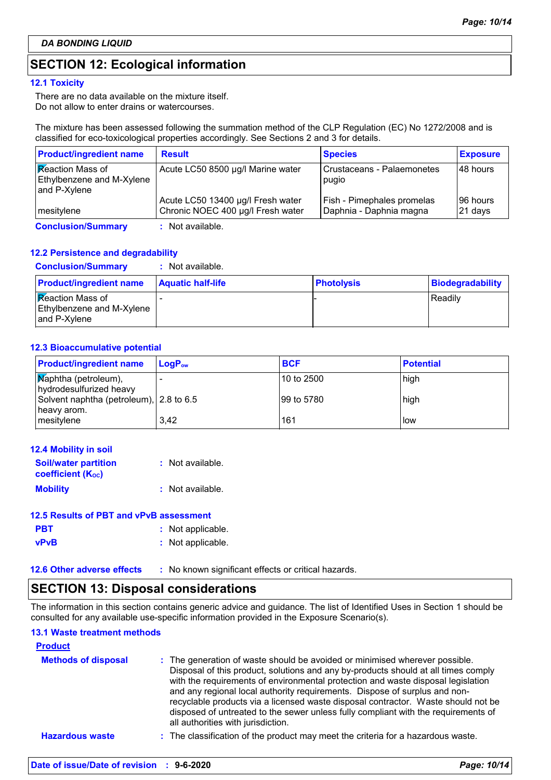# **SECTION 12: Ecological information**

#### **12.1 Toxicity**

There are no data available on the mixture itself. Do not allow to enter drains or watercourses.

The mixture has been assessed following the summation method of the CLP Regulation (EC) No 1272/2008 and is classified for eco-toxicological properties accordingly. See Sections 2 and 3 for details.

| <b>Product/ingredient name</b>                                              | <b>Result</b>                                                          | <b>Species</b>                                        | <b>Exposure</b>      |
|-----------------------------------------------------------------------------|------------------------------------------------------------------------|-------------------------------------------------------|----------------------|
| <b>Reaction Mass of</b><br><b>Ethylbenzene and M-Xylene</b><br>and P-Xylene | Acute LC50 8500 µg/l Marine water                                      | Crustaceans - Palaemonetes<br>pugio                   | 48 hours             |
| mesitylene                                                                  | Acute LC50 13400 µg/l Fresh water<br>Chronic NOEC 400 µg/l Fresh water | Fish - Pimephales promelas<br>Daphnia - Daphnia magna | 196 hours<br>21 days |
| <b>Conclusion/Summary</b>                                                   | : Not available.                                                       |                                                       |                      |

### **12.2 Persistence and degradability**

#### **Conclusion/Summary :** Not available.

| <b>Product/ingredient name</b>                                       | <b>Aquatic half-life</b> | <b>Photolysis</b> | <b>Biodegradability</b> |
|----------------------------------------------------------------------|--------------------------|-------------------|-------------------------|
| <b>Reaction Mass of</b><br>Ethylbenzene and M-Xylene<br>and P-Xylene |                          |                   | Readily                 |

#### **12.3 Bioaccumulative potential**

| <b>Product/ingredient name</b>                                     | $\mathsf{LocP}_\infty$ | <b>BCF</b> | <b>Potential</b> |
|--------------------------------------------------------------------|------------------------|------------|------------------|
| $\sqrt{\mathsf{Map}}$ htha (petroleum),<br>hydrodesulfurized heavy |                        | 10 to 2500 | high             |
| Solvent naphtha (petroleum), 2.8 to 6.5<br>heavy arom.             |                        | 99 to 5780 | high             |
| mesitylene                                                         | 3,42                   | 161        | l low            |

| 12.4 Mobility in soil                                   |                  |
|---------------------------------------------------------|------------------|
| <b>Soil/water partition</b><br><b>coefficient (Koc)</b> | : Not available. |
| <b>Mobility</b>                                         | : Not available. |

# **12.5 Results of PBT and vPvB assessment**

| <b>PBT</b>  | : Not applicable. |
|-------------|-------------------|
| <b>vPvB</b> | : Not applicable. |

**12.6 Other adverse effects** : No known significant effects or critical hazards.

# **SECTION 13: Disposal considerations**

The information in this section contains generic advice and guidance. The list of Identified Uses in Section 1 should be consulted for any available use-specific information provided in the Exposure Scenario(s).

# **13.1 Waste treatment methods**

| <b>Product</b>             |                                                                                                                                                                                                                                                                                                                                                                                                                                                                                                                                                      |
|----------------------------|------------------------------------------------------------------------------------------------------------------------------------------------------------------------------------------------------------------------------------------------------------------------------------------------------------------------------------------------------------------------------------------------------------------------------------------------------------------------------------------------------------------------------------------------------|
| <b>Methods of disposal</b> | : The generation of waste should be avoided or minimised wherever possible.<br>Disposal of this product, solutions and any by-products should at all times comply<br>with the requirements of environmental protection and waste disposal legislation<br>and any regional local authority requirements. Dispose of surplus and non-<br>recyclable products via a licensed waste disposal contractor. Waste should not be<br>disposed of untreated to the sewer unless fully compliant with the requirements of<br>all authorities with jurisdiction. |
| <b>Hazardous waste</b>     | : The classification of the product may meet the criteria for a hazardous waste.                                                                                                                                                                                                                                                                                                                                                                                                                                                                     |
|                            |                                                                                                                                                                                                                                                                                                                                                                                                                                                                                                                                                      |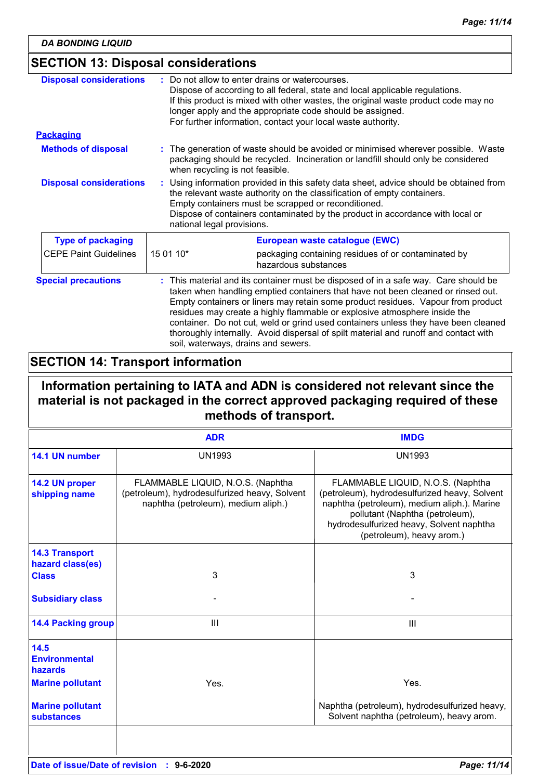# **SECTION 13: Disposal considerations**

| <b>Disposal considerations</b> | Do not allow to enter drains or watercourses.<br>Dispose of according to all federal, state and local applicable regulations.<br>If this product is mixed with other wastes, the original waste product code may no<br>longer apply and the appropriate code should be assigned.<br>For further information, contact your local waste authority.                                                                                                                                                                                                            |  |  |
|--------------------------------|-------------------------------------------------------------------------------------------------------------------------------------------------------------------------------------------------------------------------------------------------------------------------------------------------------------------------------------------------------------------------------------------------------------------------------------------------------------------------------------------------------------------------------------------------------------|--|--|
| <b>Packaging</b>               |                                                                                                                                                                                                                                                                                                                                                                                                                                                                                                                                                             |  |  |
| <b>Methods of disposal</b>     | : The generation of waste should be avoided or minimised wherever possible. Waste<br>packaging should be recycled. Incineration or landfill should only be considered<br>when recycling is not feasible.                                                                                                                                                                                                                                                                                                                                                    |  |  |
| <b>Disposal considerations</b> | Using information provided in this safety data sheet, advice should be obtained from<br>the relevant waste authority on the classification of empty containers.<br>Empty containers must be scrapped or reconditioned.<br>Dispose of containers contaminated by the product in accordance with local or<br>national legal provisions.                                                                                                                                                                                                                       |  |  |
| <b>Type of packaging</b>       | European waste catalogue (EWC)                                                                                                                                                                                                                                                                                                                                                                                                                                                                                                                              |  |  |
| <b>CEPE Paint Guidelines</b>   | 15 01 10*<br>packaging containing residues of or contaminated by<br>hazardous substances                                                                                                                                                                                                                                                                                                                                                                                                                                                                    |  |  |
| <b>Special precautions</b>     | This material and its container must be disposed of in a safe way. Care should be<br>taken when handling emptied containers that have not been cleaned or rinsed out.<br>Empty containers or liners may retain some product residues. Vapour from product<br>residues may create a highly flammable or explosive atmosphere inside the<br>container. Do not cut, weld or grind used containers unless they have been cleaned<br>thoroughly internally. Avoid dispersal of spilt material and runoff and contact with<br>soil, waterways, drains and sewers. |  |  |

# **SECTION 14: Transport information**

# **Information pertaining to IATA and ADN is considered not relevant since the material is not packaged in the correct approved packaging required of these methods of transport.**

|                                                                    | <b>ADR</b>                                                                                                                | <b>IMDG</b>                                                                                                                                                                                                                                   |
|--------------------------------------------------------------------|---------------------------------------------------------------------------------------------------------------------------|-----------------------------------------------------------------------------------------------------------------------------------------------------------------------------------------------------------------------------------------------|
| 14.1 UN number                                                     | <b>UN1993</b>                                                                                                             | <b>UN1993</b>                                                                                                                                                                                                                                 |
| 14.2 UN proper<br>shipping name                                    | FLAMMABLE LIQUID, N.O.S. (Naphtha<br>(petroleum), hydrodesulfurized heavy, Solvent<br>naphtha (petroleum), medium aliph.) | FLAMMABLE LIQUID, N.O.S. (Naphtha<br>(petroleum), hydrodesulfurized heavy, Solvent<br>naphtha (petroleum), medium aliph.). Marine<br>pollutant (Naphtha (petroleum),<br>hydrodesulfurized heavy, Solvent naphtha<br>(petroleum), heavy arom.) |
| <b>14.3 Transport</b><br>hazard class(es)                          |                                                                                                                           |                                                                                                                                                                                                                                               |
| <b>Class</b>                                                       | 3                                                                                                                         | 3                                                                                                                                                                                                                                             |
| <b>Subsidiary class</b>                                            |                                                                                                                           |                                                                                                                                                                                                                                               |
| <b>14.4 Packing group</b>                                          | Ш                                                                                                                         | Ш                                                                                                                                                                                                                                             |
| 14.5<br><b>Environmental</b><br>hazards<br><b>Marine pollutant</b> | Yes.                                                                                                                      | Yes.                                                                                                                                                                                                                                          |
|                                                                    |                                                                                                                           |                                                                                                                                                                                                                                               |
| <b>Marine pollutant</b>                                            |                                                                                                                           | Naphtha (petroleum), hydrodesulfurized heavy,<br>Solvent naphtha (petroleum), heavy arom.                                                                                                                                                     |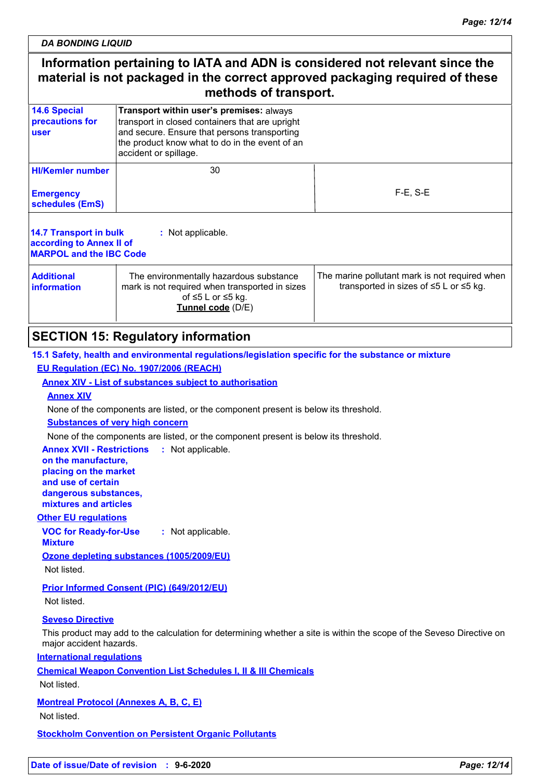*DA BONDING LIQUID*

# **Information pertaining to IATA and ADN is considered not relevant since the material is not packaged in the correct approved packaging required of these methods of transport.**

| <b>14.6 Special</b><br>precautions for<br>user                                                                                                                                             | Transport within user's premises: always<br>transport in closed containers that are upright<br>and secure. Ensure that persons transporting<br>the product know what to do in the event of an<br>accident or spillage. |                                                                                                      |  |
|--------------------------------------------------------------------------------------------------------------------------------------------------------------------------------------------|------------------------------------------------------------------------------------------------------------------------------------------------------------------------------------------------------------------------|------------------------------------------------------------------------------------------------------|--|
| <b>HI/Kemler number</b>                                                                                                                                                                    | 30                                                                                                                                                                                                                     |                                                                                                      |  |
| <b>Emergency</b><br>schedules (EmS)                                                                                                                                                        |                                                                                                                                                                                                                        | $F-E$ , S-E                                                                                          |  |
| 14.7 Transport in bulk<br>: Not applicable.<br>according to Annex II of<br><b>MARPOL and the IBC Code</b>                                                                                  |                                                                                                                                                                                                                        |                                                                                                      |  |
| <b>Additional</b><br>The environmentally hazardous substance<br>mark is not required when transported in sizes<br><b>information</b><br>of $\leq 5$ L or $\leq 5$ kg.<br>Tunnel code (D/E) |                                                                                                                                                                                                                        | The marine pollutant mark is not required when<br>transported in sizes of $\leq$ 5 L or $\leq$ 5 kg. |  |

# **SECTION 15: Regulatory information**

**15.1 Safety, health and environmental regulations/legislation specific for the substance or mixture**

# **EU Regulation (EC) No. 1907/2006 (REACH)**

**Annex XIV - List of substances subject to authorisation**

### **Annex XIV**

None of the components are listed, or the component present is below its threshold.

**Substances of very high concern**

None of the components are listed, or the component present is below its threshold.

**Annex XVII - Restrictions :** Not applicable.

**on the manufacture, placing on the market and use of certain dangerous substances, mixtures and articles**

**Other EU regulations**

**VOC for Ready-for-Use Mixture :** Not applicable.

**Ozone depleting substances (1005/2009/EU)**

Not listed.

**Prior Informed Consent (PIC) (649/2012/EU)**

Not listed.

### **Seveso Directive**

This product may add to the calculation for determining whether a site is within the scope of the Seveso Directive on major accident hazards.

**International regulations**

**Chemical Weapon Convention List Schedules I, II & III Chemicals**

Not listed.

**Montreal Protocol (Annexes A, B, C, E)**

Not listed.

**Stockholm Convention on Persistent Organic Pollutants**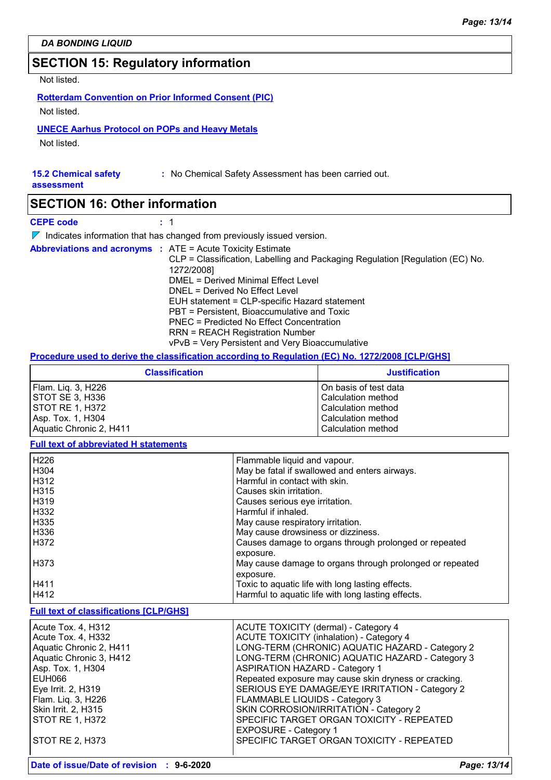# **SECTION 15: Regulatory information**

Not listed.

**Rotterdam Convention on Prior Informed Consent (PIC)** Not listed.

#### **UNECE Aarhus Protocol on POPs and Heavy Metals**

Not listed.

#### **15.2 Chemical safety**

**assessment**

# **SECTION 16: Other information**

**CEPE code :** 1

 $\nabla$  Indicates information that has changed from previously issued version.

| <b>Abbreviations and acronyms : ATE = Acute Toxicity Estimate</b> |                                                                               |
|-------------------------------------------------------------------|-------------------------------------------------------------------------------|
|                                                                   | CLP = Classification, Labelling and Packaging Regulation [Regulation (EC) No. |
|                                                                   | 1272/2008]                                                                    |
|                                                                   | DMEL = Derived Minimal Effect Level                                           |
|                                                                   | DNEL = Derived No Effect Level                                                |
|                                                                   | EUH statement = CLP-specific Hazard statement                                 |
|                                                                   | PBT = Persistent, Bioaccumulative and Toxic                                   |
|                                                                   | PNEC = Predicted No Effect Concentration                                      |
|                                                                   | <b>RRN = REACH Registration Number</b>                                        |
|                                                                   | vPvB = Very Persistent and Very Bioaccumulative                               |

**:** No Chemical Safety Assessment has been carried out.

#### **Procedure used to derive the classification according to Regulation (EC) No. 1272/2008 [CLP/GHS]**

| <b>Classification</b>   | <b>Justification</b>  |
|-------------------------|-----------------------|
| Flam. Lig. 3, H226      | On basis of test data |
| STOT SE 3, H336         | Calculation method    |
| ISTOT RE 1. H372        | Calculation method    |
| Asp. Tox. 1, H304       | Calculation method    |
| Aquatic Chronic 2, H411 | Calculation method    |

#### **Full text of abbreviated H statements**

| H <sub>226</sub>  | Flammable liquid and vapour.                             |
|-------------------|----------------------------------------------------------|
| H304              | May be fatal if swallowed and enters airways.            |
| H312              | Harmful in contact with skin.                            |
| H315              | Causes skin irritation.                                  |
| H319              | Causes serious eye irritation.                           |
| H332              | Harmful if inhaled.                                      |
| H335              | May cause respiratory irritation.                        |
| H336              | May cause drowsiness or dizziness.                       |
| H372              | Causes damage to organs through prolonged or repeated    |
|                   | exposure.                                                |
| H <sub>3</sub> 73 | May cause damage to organs through prolonged or repeated |
|                   | exposure.                                                |
| H411              | Toxic to aquatic life with long lasting effects.         |
| H412              | Harmful to aquatic life with long lasting effects.       |

#### **Full text of classifications [CLP/GHS]**

| Acute Tox. 4, H312      | ACUTE TOXICITY (dermal) - Category 4                  |
|-------------------------|-------------------------------------------------------|
| Acute Tox. 4, H332      | <b>ACUTE TOXICITY (inhalation) - Category 4</b>       |
| Aquatic Chronic 2, H411 | LONG-TERM (CHRONIC) AQUATIC HAZARD - Category 2       |
| Aquatic Chronic 3, H412 | LONG-TERM (CHRONIC) AQUATIC HAZARD - Category 3       |
| Asp. Tox. 1, H304       | <b>ASPIRATION HAZARD - Category 1</b>                 |
| EUH066                  | Repeated exposure may cause skin dryness or cracking. |
| Eye Irrit. 2, H319      | SERIOUS EYE DAMAGE/EYE IRRITATION - Category 2        |
| Flam. Lig. 3, H226      | FLAMMABLE LIQUIDS - Category 3                        |
| Skin Irrit. 2, H315     | SKIN CORROSION/IRRITATION - Category 2                |
| STOT RE 1, H372         | SPECIFIC TARGET ORGAN TOXICITY - REPEATED             |
|                         | <b>EXPOSURE - Category 1</b>                          |
| STOT RE 2, H373         | SPECIFIC TARGET ORGAN TOXICITY - REPEATED             |
|                         |                                                       |